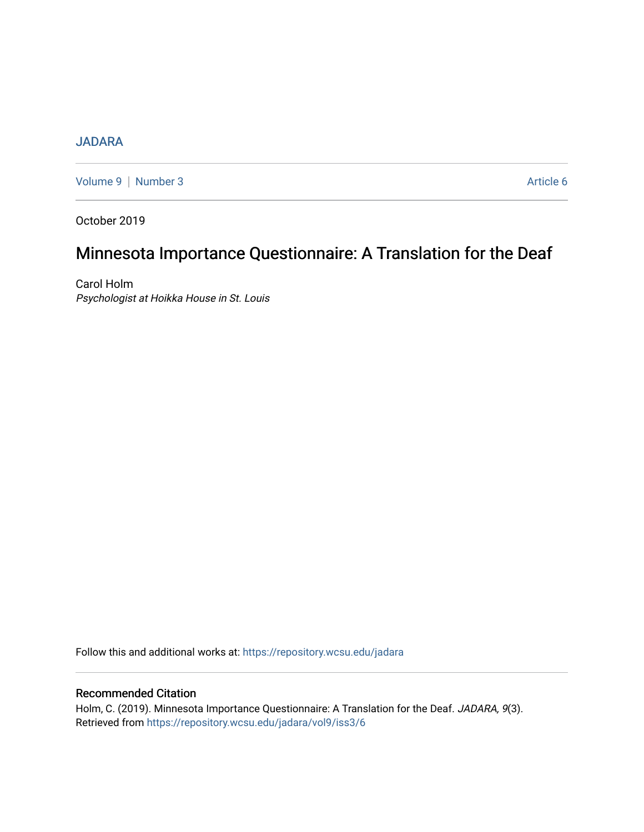# [JADARA](https://repository.wcsu.edu/jadara)

[Volume 9](https://repository.wcsu.edu/jadara/vol9) | [Number 3](https://repository.wcsu.edu/jadara/vol9/iss3) Article 6

October 2019

# Minnesota Importance Questionnaire: A Translation for the Deaf

Carol Holm Psychologist at Hoikka House in St. Louis

Follow this and additional works at: [https://repository.wcsu.edu/jadara](https://repository.wcsu.edu/jadara?utm_source=repository.wcsu.edu%2Fjadara%2Fvol9%2Fiss3%2F6&utm_medium=PDF&utm_campaign=PDFCoverPages)

# Recommended Citation

Holm, C. (2019). Minnesota Importance Questionnaire: A Translation for the Deaf. JADARA, 9(3). Retrieved from [https://repository.wcsu.edu/jadara/vol9/iss3/6](https://repository.wcsu.edu/jadara/vol9/iss3/6?utm_source=repository.wcsu.edu%2Fjadara%2Fvol9%2Fiss3%2F6&utm_medium=PDF&utm_campaign=PDFCoverPages)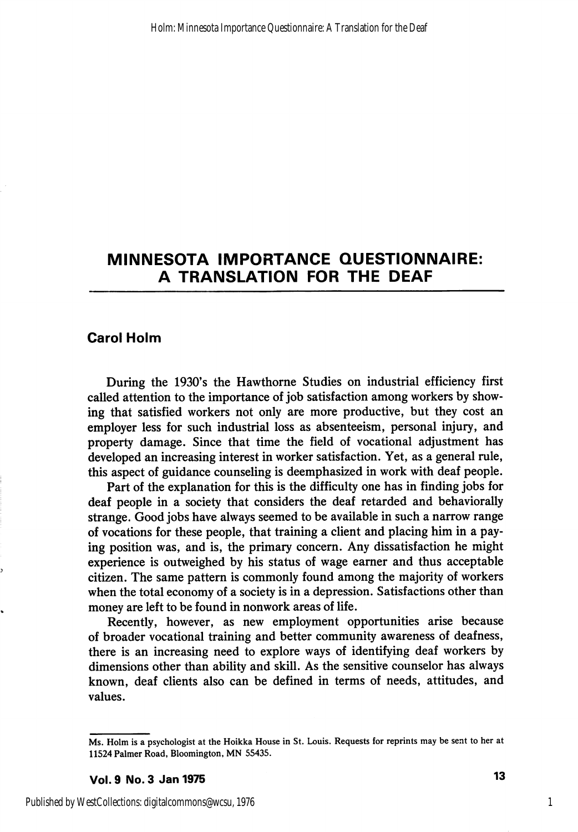# MINNESOTA IMPORTANCE QUESTIONNAIRE: A TRANSLATION FOR THE DEAF

# Carol Holm

During the 1930's the Hawthorne Studies on industrial efficiency first called attention to the importance of job satisfaction among workers by show ing that satisfied workers not only are more productive, but they cost an employer less for such industrial loss as absenteeism, personal injury, and property damage. Since that time the field of vocational adjustment has developed an increasing interest in worker satisfaction. Yet, as a general rule, this aspect of guidance counseling is deemphasized in work with deaf people.

Part of the explanation for this is the difficulty one has in finding jobs for deaf people in a society that considers the deaf retarded and behaviorally strange. Good jobs have always seemed to be available in such a narrow range of vocations for these people, that training a client and placing him in a pay ing position was, and is, the primary concern. Any dissatisfaction he might experience is outweighed by his status of wage earner and thus acceptable citizen. The same pattern is commonly found among the majority of workers when the total economy of a society is in a depression. Satisfactions other than money are left to be found in nonwork areas of life.

Recently, however, as new employment opportunities arise because of broader vocational training and better community awareness of deafness, there is an increasing need to explore ways of identifying deaf workers by dimensions other than ability and skill. As the sensitive counselor has always known, deaf clients also can be defined in terms of needs, attitudes, and values.

Ms. Holm is a psychologist at the Hoikka House in St. Louis. Requests for reprints may be sent to her at 11524 Palmer Road, Bloomington, MN 55435.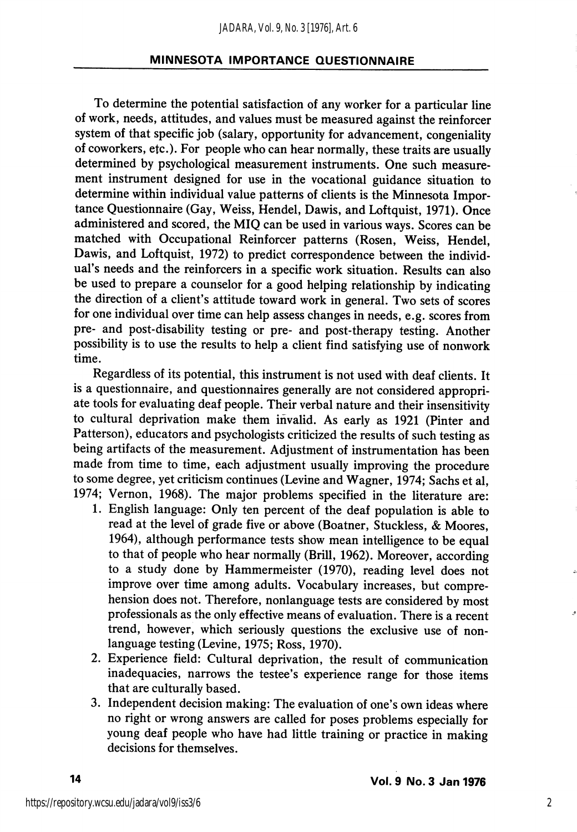To determine the potential satisfaction of any worker for a particular line of work, needs, attitudes, and values must be measured against the reinforcer system of that specific job (salary, opportunity for advancement, congeniality of coworkers, etc.). For people who can hear normally, these traits are usually determined by psychological measurement instruments. One such measure ment instrument designed for use in the vocational guidance situation to determine within individual value patterns of clients is the Minnesota Impor tance Questionnaire (Gay, Weiss, Hendel, Dawis, and Loftquist, 1971). Once administered and scored, the MIQ can be used in various ways. Scores can be matched with Occupational Reinforcer patterns (Rosen, Weiss, Hendel, Dawis, and Loftquist, 1972) to predict correspondence between the individ ual's needs and the reinforcers in a specific work situation. Results can also be used to prepare a counselor for a good helping relationship by indicating the direction of a client's attitude toward work in general. Two sets of scores for one individual over time can help assess changes in needs, e.g. scores from pre- and post-disability testing or pre- and post-therapy testing. Another possibility is to use the results to help a client find satisfying use of nonwork time.

Regardless of its potential, this instrument is not used with deaf clients. It is a questionnaire, and questionnaires generally are not considered appropri ate tools for evaluating deaf people. Their verbal nature and their insensitivity to cultural deprivation make them invalid. As early as 1921 (Pinter and Patterson), educators and psychologists criticized the results of such testing as being artifacts of the measurement. Adjustment of instrumentation has been made from time to time, each adjustment usually improving the procedure to some degree, yet criticism continues (Levine and Wagner, 1974; Sachs et al, 1974; Vernon, 1968). The major problems specified in the literature are:

- 1. English language: Only ten percent of the deaf population is able to read at the level of grade five or above (Boatner, Stuckless, & Moores, 1964), although performance tests show mean intelligence to be equal to that of people who hear normally (Brill, 1962). Moreover, according to a study done by Hammermeister (1970), reading level does not improve over time among adults. Vocabulary increases, but compre hension does not. Therefore, nonlanguage tests are considered by most professionals as the only effective means of evaluation. There is a recent trend, however, which seriously questions the exclusive use of nonlanguage testing (Levine, 1975; Ross, 1970).
- 2. Experience field: Cultural deprivation, the result of communication inadequacies, narrows the testee's experience range for those items that are culturally based.
- 3. Independent decision making: The evaluation of one's own ideas where no right or wrong answers are called for poses problems especially for young deaf people who have had little training or practice in making decisions for themselves.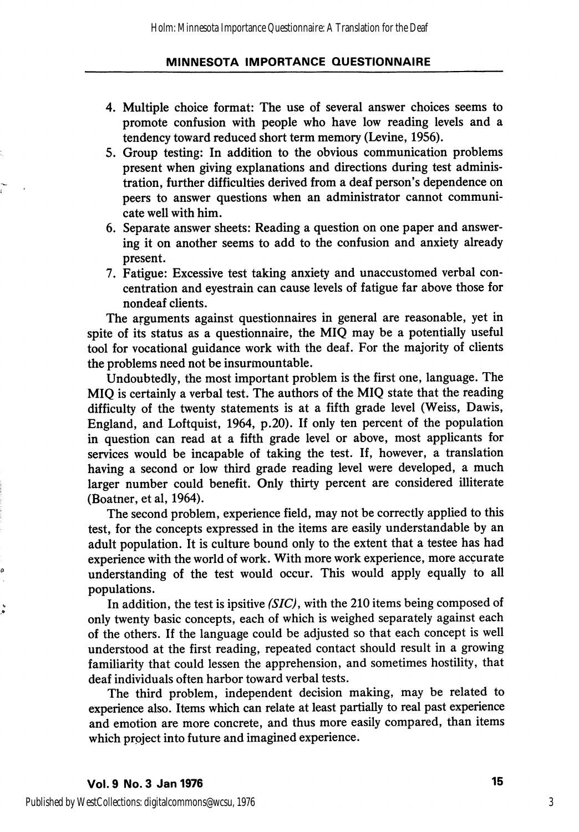- 4. Multiple choice format: The use of several answer choices seems to promote confusion with people who have low reading levels and a tendency toward reduced short term memory (Levine, 1956).
- 5. Group testing: In addition to the obvious communication problems present when giving explanations and directions during test adminis tration, further difficulties derived from a deaf person's dependence on peers to answer questions when an administrator cannot communi cate well with him.
- 6. Separate answer sheets: Reading a question on one paper and answer ing it on another seems to add to the confusion and anxiety already present.
- 7. Fatigue: Excessive test taking anxiety and unaccustomed verbal con centration and eyestrain can cause levels of fatigue far above those for nondeaf clients.

The arguments against questionnaires in general are reasonable, yet in spite of its status as a questionnaire, the MIQ may be a potentially useful tool for vocational guidance work with the deaf. For the majority of clients the problems need not be insurmountable.

Undoubtedly, the most important problem is the first one, language. The MIQ is certainly a verbal test. The authors of the MIQ state that the reading difficulty of the twenty statements is at a fifth grade level (Weiss, Dawis, England, and Loftquist, 1964, p.20). If only ten percent of the population in question can read at a fifth grade level or above, most applicants for services would be incapable of taking the test. If, however, a translation having a second or low third grade reading level were developed, a much larger number could benefit. Only thirty percent are considered illiterate (Boatner, et al, 1964).

The second problem, experience field, may not be correctly applied to this test, for the concepts expressed in the items are easily understandable by an adult population. It is culture bound only to the extent that a testee has had experience with the world of work. With more work experience, more accurate understanding of the test would occur. This would apply equally to all populations.

In addition, the test is ipsitive (SIC), with the 210 items being composed of only twenty basic concepts, each of which is weighed separately against each of the others. If the language could be adjusted so that each concept is well understood at the first reading, repeated contact should result in a growing familiarity that could lessen the apprehension, and sometimes hostility, that deaf individuals often harbor toward verbal tests.

The third problem, independent decision making, may be related to experience also. Items which can relate at least partially to real past experience and emotion are more concrete, and thus more easily compared, than items which project into future and imagined experience.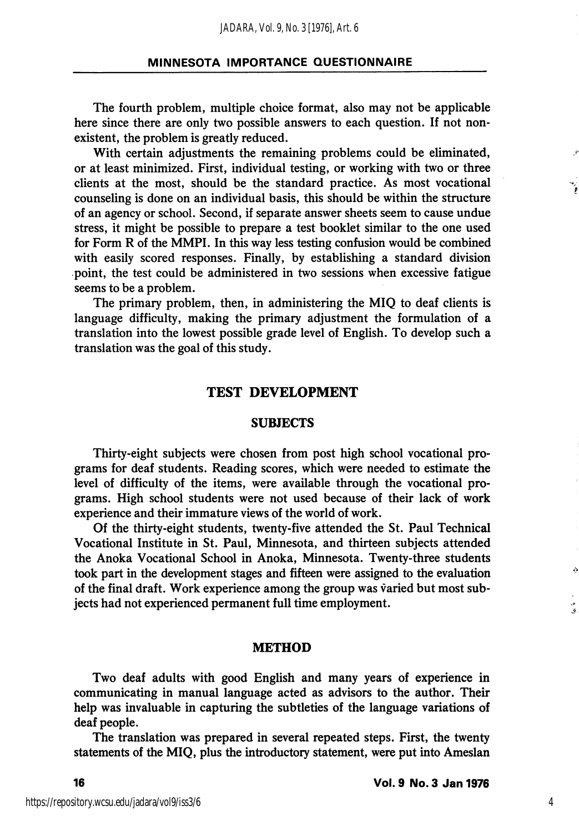The fourth problem, multiple choice format, also may not be applicable here since there are only two possible answers to each question. If not non existent, the problem is greatly reduced.

With certain adjustments the remaining problems could be eliminated, or at least minimized. First, individual testing, or working with two or three clients at the most, should be the standard practice. As most vocational counseling is done on an individual basis, this should be within the structure of an agency or school. Second, if separate answer sheets seem to cause undue stress, it might be possible to prepare a test booklet similar to the one used for Form R of the MMPI. In this way less testing confusion would be combined with easily scored responses. Finally, by establishing a standard division point, the test could be administered in two sessions when excessive fatigue seems to be a problem.

The primary problem, then, in administering the MIQ to deaf clients is language difficulty, making the primary adjustment the formulation of a translation into the lowest possible grade level of English. To develop such a translation was the goal of this study.

# TEST DEVELOPMENT

#### **SUBJECTS**

Thirty-eight subjects were chosen from post high school vocational pro grams for deaf students. Reading scores, which were needed to estimate the level of difficulty of the items, were available through the vocational pro grams. High school students were not used because of their lack of work experience and their immature views of the world of work.

Of the thirty-eight students, twenty-five attended the St. Paul Technical Vocational Institute in St. Paul, Minnesota, and thirteen subjects attended the Anoka Vocational School in Anoka, Minnesota. Twenty-three students took part in the development stages and fifteen were assigned to the evaluation of the final draft. Work experience among the group was varied but most sub jects had not experienced permanent full time employment.

#### METHOD

Two deaf adults with good English and many years of experience in communicating in manual language acted as advisors to the author. Their help was invaluable in capturing the subtleties of the language variations of deaf people.

The translation was prepared in several repeated steps. First, the twenty statements of the MIQ, plus the introductory statement, were put into Ameslan Á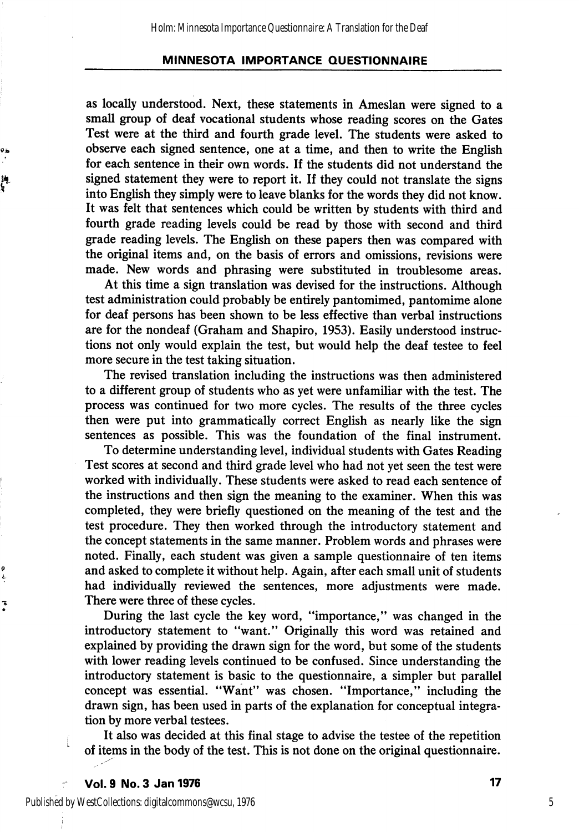as locally understood. Next, these statements in Ameslan were signed to a small group of deaf vocational students whose reading scores on the Gates Test were at the third and fourth grade level. The students were asked to observe each signed sentence, one at a time, and then to write the English for each sentence in their own words. If the students did not understand the signed statement they were to report it. If they could not translate the signs into English they simply were to leave blanks for the words they did not know. It was felt that sentences which could be written by students with third and fourth grade reading levels could be read by those with second and third grade reading levels. The English on these papers then was compared with the original items and, on the basis of errors and omissions, revisions were made. New words and phrasing were substituted in troublesome areas.

At this time a sign translation was devised for the instructions. Although test administration could probably be entirely pantomimed, pantomime alone for deaf persons has been shown to be less effective than verbal instructions are for the nondeaf (Graham and Shapiro, 1953). Easily understood instruc tions not only would explain the test, but would help the deaf testee to feel more secure in the test taking situation.

The revised translation including the instructions was then administered to a different group of students who as yet were unfamiliar with the test. The process was continued for two more cycles. The results of the three cycles then were put into grammatically correct English as nearly like the sign sentences as possible. This was the foundation of the final instrument.

To determine understanding level, individual students with Gates Reading Test scores at second and third grade level who had not yet seen the test were worked with individually. These students were asked to read each sentence of the instructions and then sign the meaning to the examiner. When this was completed, they were briefly questioned on the meaning of the test and the test procedure. They then worked through the introductory statement and the concept statements in the same manner. Problem words and phrases were noted. Finally, each student was given a sample questionnaire of ten items and asked to complete it without help. Again, after each small unit of students had individually reviewed the sentences, more adjustments were made. There were three of these cycles.

During the last cycle the key word, "importance," was changed in the introductory statement to "want." Originally this word was retained and explained by providing the drawn sign for the word, but some of the students with lower reading levels continued to be confused. Since understanding the introductory statement is basic to the questionnaire, a simpler but parallel concept was essential. "Want" was chosen. "Importance," including the drawn sign, has been used in parts of the explanation for conceptual integra tion by more verbal testees.

It also was decided at this final stage to advise the testee of the repetition of items in the body of the test. This is not done on the original questionnaire.

ja.<br>K

ć.

تە<br>ق

Published by WestCollections: digitalcommons@wcsu, 1976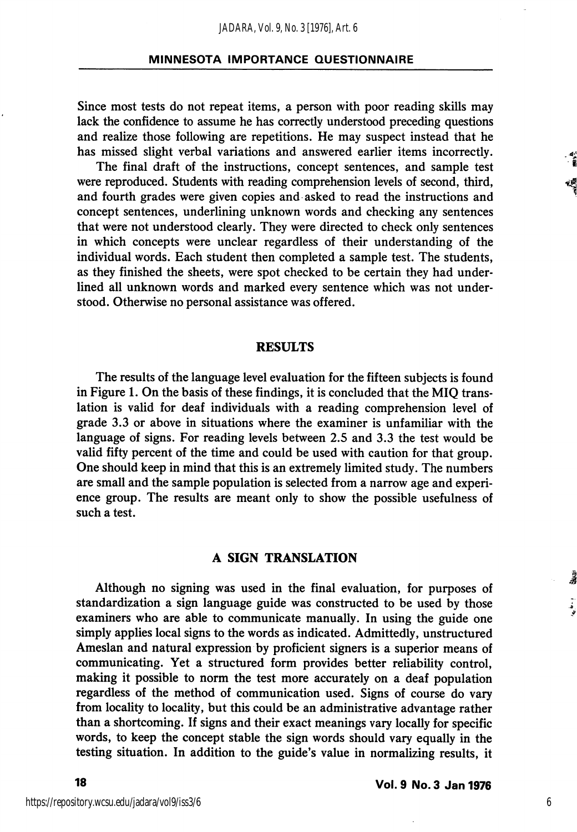Since most tests do not repeat items, a person with poor reading skills may lack the confidence to assume he has correctly understood preceding questions and realize those following are repetitions. He may suspect instead that he has missed slight verbal variations and answered earlier items incorrectly.

The final draft of the instructions, concept sentences, and sample test were reproduced. Students with reading comprehension levels of second, third, and fourth grades were given copies and asked to read the instructions and concept sentences, underlining unknown words and checking any sentences that were not understood clearly. They were directed to check only sentences in which concepts were unclear regardless of their understanding of the individual words. Each student then completed a sample test. The students, as they finished the sheets, were spot checked to be certain they had under lined all unknown words and marked every sentence which was not understood. Otherwise no personal assistance was offered.

#### RESULTS

The results of the language level evaluation for the fifteen subjects is found in Figure 1. On the basis of these findings, it is concluded that the MIQ trans lation is valid for deaf individuals with a reading comprehension level of grade 3.3 or above in situations where the examiner is unfamiliar with the language of signs. For reading levels between 2.5 and 3.3 the test would be valid fifty percent of the time and could be used with caution for that group. One should keep in mind that this is an extremely limited study. The numbers are small and the sample population is selected from a narrow age and experi ence group. The results are meant only to show the possible usefulness of such a test.

### A SIGN TRANSLATION

Although no signing was used in the final evaluation, for purposes of standardization a sign language guide was constructed to be used by those examiners who are able to communicate manually. In using the guide one simply applies local signs to the words as indicated. Admittedly, unstructured Ameslan and natural expression by proficient signers is a superior means of communicating. Yet a structured form provides better reliability control, making it possible to norm the test more accurately on a deaf population regardless of the method of communication used. Signs of course do vary from locality to locality, but this could be an administrative advantage rather than a shortcoming. If signs and their exact meanings vary locally for specific words, to keep the concept stable the sign words should vary equally in the testing situation. In addition to the guide's value in normalizing results, it

6

。<br>者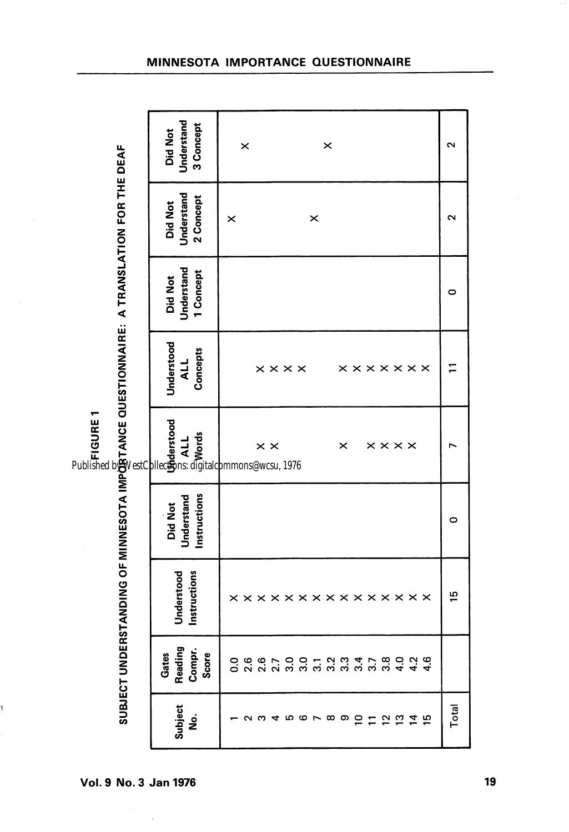| ı<br>L |  |
|--------|--|
|        |  |
|        |  |
| ŗ      |  |
|        |  |

7

| Lett Life CCL inCite is a Cite Ct                                                                                     |
|-----------------------------------------------------------------------------------------------------------------------|
|                                                                                                                       |
|                                                                                                                       |
|                                                                                                                       |
|                                                                                                                       |
|                                                                                                                       |
|                                                                                                                       |
|                                                                                                                       |
|                                                                                                                       |
|                                                                                                                       |
|                                                                                                                       |
|                                                                                                                       |
|                                                                                                                       |
|                                                                                                                       |
|                                                                                                                       |
|                                                                                                                       |
|                                                                                                                       |
|                                                                                                                       |
|                                                                                                                       |
|                                                                                                                       |
|                                                                                                                       |
|                                                                                                                       |
|                                                                                                                       |
|                                                                                                                       |
|                                                                                                                       |
|                                                                                                                       |
|                                                                                                                       |
| LL : " " " ( " } CL : " ) LL : " } LL : " } LL ( Cl : " " } L( CL : " " LL ( CL                                       |
|                                                                                                                       |
|                                                                                                                       |
|                                                                                                                       |
|                                                                                                                       |
| <b>Contract of the contract of the contract of the contract of the contract of the contract of the contract of th</b> |
|                                                                                                                       |
|                                                                                                                       |
|                                                                                                                       |
|                                                                                                                       |
|                                                                                                                       |
|                                                                                                                       |
|                                                                                                                       |
|                                                                                                                       |
|                                                                                                                       |
|                                                                                                                       |
|                                                                                                                       |

| MINNESOTA IMPORTANCE QUESTIONNAIRE |  |  |  |
|------------------------------------|--|--|--|
|------------------------------------|--|--|--|

| Understand<br>3 Concept<br><b>Did Not</b> | $\times$<br>×                                                  | ∾     |
|-------------------------------------------|----------------------------------------------------------------|-------|
| Understand<br>2 Concept<br><b>Did Not</b> | $\boldsymbol{\times}$<br>×                                     | 2     |
| Understand<br>1 Concept<br>Did Not        |                                                                | 0     |
| Understood<br>Concepts<br><b>ALL</b>      | <b>x x x x x x x</b><br>$\times\times\times\times$             |       |
| Understood<br>ALL<br>Words                | $\times \times \times \times$<br>$\times$ $\times$<br>$\times$ |       |
| Instructions<br>Understand<br>Did Not     |                                                                | 0     |
| Instructions<br>Understood                | x x x x x x x x x x x x x x x                                  | 15    |
| Reading<br>Compr.<br>Score<br>Gates       | O G G C C O T O M T C G O N G<br>O N N N M M M M M M M M T T T |       |
| <b>Subject</b><br><u>ş</u>                | <i>o</i> w 4 m o L m o <del>G</del> H G G H H D                | Total |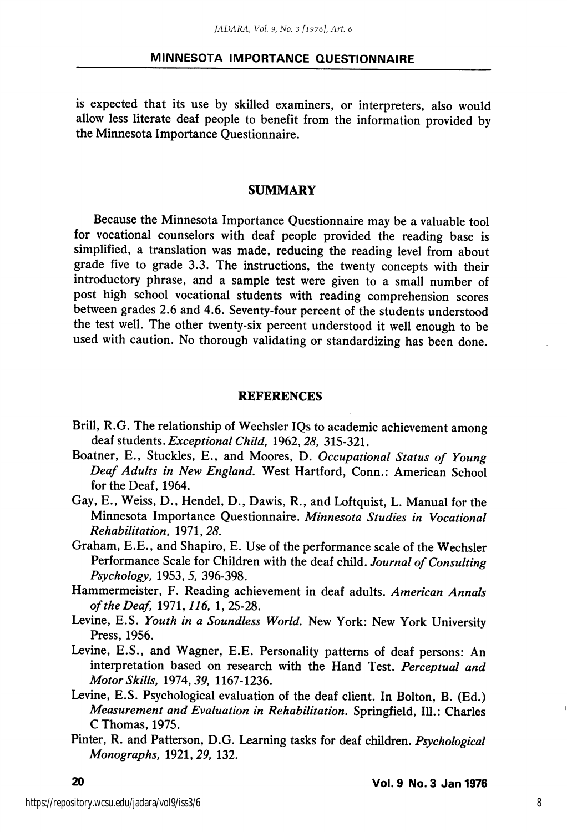is expected that its use by skilled examiners, or interpreters, also would allow less literate deaf people to benefit from the information provided by the Minnesota Importance Questionnaire.

#### SUMMARY

Because the Minnesota Importance Questionnaire may be a valuable tool for vocational counselors with deaf people provided the reading base is simplified, a translation was made, reducing the reading level from about grade five to grade 3.3. The instructions, the twenty concepts with their introductory phrase, and a sample test were given to a small number of post high school vocational students with reading comprehension scores between grades 2.6 and 4.6. Seventy-four percent of the students understood the test well. The other twenty-six percent understood it well enough to be used with caution. No thorough validating or standardizing has been done.

#### REFERENCES

- Brill, R.G. The relationship of Wechsler IQs to academic achievement among deaf students. Exceptional Child, 1962, 28, 315-321.
- Boatner, E., Stuckles, E., and Moores, D. Occupational Status of Young Deaf Adults in New England. West Hartford, Conn.: American School for the Deaf, 1964.
- Gay, E., Weiss, D., Hendel, D., Dawis, R., and Loftquist, L. Manual for the Minnesota Importance Questionnaire. Minnesota Studies in Vocational Rehabilitation, 1971,25.
- Graham, E.E., and Shapiro, E. Use of the performance scale of the Wechsler Performance Scale for Children with the deaf child. Journal of Consulting Psychology, 1953, 5, 396-398.
- Hammermeister, F. Reading achievement in deaf adults. American Annals of the Deaf, 1971, 116, 1, 25-28.
- Levine, E.S. Youth in a Soundless World. New York: New York University Press, 1956.
- Levine, E.S., and Wagner, E.E. Personality patterns of deaf persons: An interpretation based on research with the Hand Test. Perceptual and Motor Skills, 1974, 39, 1167-1236.
- Levine, E.S. Psychological evaluation of the deaf client. In Bolton, B. (Ed.) Measurement and Evaluation in Rehabilitation. Springfield, 111.: Charles C Thomas, 1975.
- Pinter, R. and Patterson, D.G. Learning tasks for deaf children. Psychological Monographs, 1921,29, 132.

8